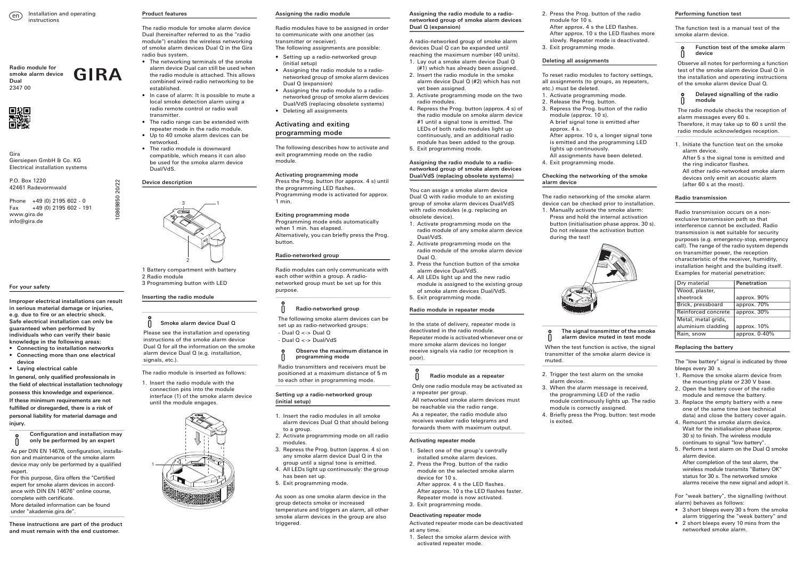Gira Giersiepen GmbH & Co. KG Electrical installation systems

P.O. Box 1220 42461 Radevormwald

Phone +49 (0) 2195 602 - 0 Fax +49 (0) 2195 602 - 191 www.gira.de info@gira.de

# For your safety

Improper electrical installations can result in serious material damage or injuries, e.g. due to fire or an electric shock. Safe electrical installation can only be guaranteed when performed by individuals who can verify their basic knowledge in the following areas:

- Connecting to installation networks • Connecting more than one electrical device
- Laying electrical cable

In general, only qualified professionals in the field of electrical installation technology possess this knowledge and experience. If these minimum requirements are not fulfilled or disregarded, there is a risk of personal liability for material damage and injury.

These instructions are part of the product and must remain with the end customer.

Configuration and installation may only be performed by an expert

As per DIN EN 14676, configuration, installation and maintenance of the smoke alarm device may only be performed by a qualified expert.

Please see the installation and operating instructions of the smoke alarm device Dual Q for all the information on the smoke alarm device Dual Q (e.g. installation, signals, etc.).

For this purpose, Gira offers the "Certified expert for smoke alarm devices in accordance with DIN EN 14676" online course, complete with certificate. More detailed information can be found under "akademie.gira.de".

## Product features

The radio module for smoke alarm device Dual (hereinafter referred to as the "radio module") enables the wireless networking of smoke alarm devices Dual Q in the Gira radio bus system.

- The networking terminals of the smoke alarm device Dual can still be used when the radio module is attached. This allows combined wired-radio networking to be established.
- In case of alarm: It is possible to mute a local smoke detection alarm using a radio remote control or radio wall transmitter.
- The radio range can be extended with repeater mode in the radio module.
- Up to 40 smoke alarm devices can be networked.
- The radio module is downward compatible, which means it can also be used for the smoke alarm device Dual/VdS.

## Device description

1 Battery compartment with battery 2 Radio module 3 Programming button with LED

## Inserting the radio module

The radio module is inserted as follows:

1. Insert the radio module with the connection pins into the module interface (1) of the smoke alarm device until the module engages.



Smoke alarm device Dual Q



1

#### Assigning the radio module

Radio modules have to be assigned in order to communicate with one another (as transmitter or receiver). The following assignments are possible:

- Setting up a radio-networked group (initial setup)
- Assigning the radio module to a radionetworked group of smoke alarm devices Dual Q (expansion)
- Assigning the radio module to a radionetworked group of smoke alarm devices Dual/VdS (replacing obsolete systems)
- Deleting all assignments

# Activating and exiting programming mode

The following describes how to activate and exit programming mode on the radio module.

## Activating programming mode

Press the Prog. button (for approx. 4 s) until the programming LED flashes. Programming mode is activated for approx. 1 min.

#### U Radio module as a repeater

# Exiting programming mode

Programming mode ends automatically when 1 min. has elapsed. Alternatively, you can briefly press the Prog. button.

## Radio-networked group

Radio modules can only communicate with each other within a group. A radionetworked group must be set up for this purpose.

## Setting up a radio-networked group (initial setup)

- 1. Insert the radio modules in all smoke alarm devices Dual Q that should belong to a group.
- 2. Activate programming mode on all radio modules.
- 3. Repress the Prog. button (approx. 4 s) on any smoke alarm device Dual Q in the group until a signal tone is emitted.
- 4. All LEDs light up continuously: the group has been set up.
- 5. Exit programming mode.

As soon as one smoke alarm device in the group detects smoke or increased temperature and triggers an alarm, all other smoke alarm devices in the group are also triggered.

# Radio-networked group

The following smoke alarm devices can be set up as radio-networked groups:

- Dual Q <-> Dual Q - Dual Q <-> Dual/VdS
- 

#### Observe the maximum distance in  $\mathsf{n}$ programming mode

Radio transmitters and receivers must be positioned at a maximum distance of 5 m to each other in programming mode.

## Assigning the radio module to a radionetworked group of smoke alarm devices Dual Q (expansion)

A radio-networked group of smoke alarm devices Dual Q can be expanded until reaching the maximum number (40 units).

- 1. Lay out a smoke alarm device Dual Q (#1) which has already been assigned.
- 2. Insert the radio module in the smoke alarm device Dual Q (#2) which has not yet been assigned.
- 3. Activate programming mode on the two radio modules.
- 4. Repress the Prog. button (approx. 4 s) of the radio module on smoke alarm device #1 until a signal tone is emitted. The LEDs of both radio modules light up continuously, and an additional radio module has been added to the group.
- 5. Exit programming mode.

## Assigning the radio module to a radionetworked group of smoke alarm devices Dual/VdS (replacing obsolete systems)

You can assign a smoke alarm device Dual Q with radio module to an existing group of smoke alarm devices Dual/VdS with radio modules (e.g. replacing an obsolete device).

- 1. Activate programming mode on the radio module of any smoke alarm device Dual/VdS.
- 2. Activate programming mode on the radio module of the smoke alarm device Dual Q.
- 3. Press the function button of the smoke alarm device Dual/VdS.
- 4. All LEDs light up and the new radio module is assigned to the existing group of smoke alarm devices Dual/VdS.
- 5. Exit programming mode.

## Radio module in repeater mode

In the state of delivery, repeater mode is deactivated in the radio module. Repeater mode is activated whenever one or more smoke alarm devices no longer receive signals via radio (or reception is poor).

#### Activating repeater mode

- 1. Select one of the group's centrally installed smoke alarm devices.
- 2. Press the Prog. button of the radio module on the selected smoke alarm device for 10 s.
- After approx. 4 s the LED flashes. After approx. 10 s the LED flashes faster.
- Repeater mode is now activated.
- 3. Exit programming mode.

### Deactivating repeater mode

Activated repeater mode can be deactivated at any time.

1. Select the smoke alarm device with activated repeater mode.

Only one radio module may be activated as a repeater per group.

All networked smoke alarm devices must be reachable via the radio range. As a repeater, the radio module also receives weaker radio telegrams and forwards them with maximum output.

- 2. Press the Prog. button of the radio module for 10 s.
- After approx. 4 s the LED flashes. After approx. 10 s the LED flashes more slowly. Repeater mode is deactivated.
- Deleting all assignments

3. Exit programming mode.

To reset radio modules to factory settings, all assignments (to groups, as repeaters, etc.) must be deleted.

3. Repress the Prog. button of the radio



- 1. Activate programming mode.
- 2. Release the Prog. button.
- module (approx. 10 s). A brief signal tone is emitted after approx. 4 s. After approx. 10 s, a longer signal tone is emitted and the programming LED lights up continuously.

All assignments have been deleted. 4. Exit programming mode.

### Checking the networking of the smoke alarm device

The radio networking of the smoke alarm device can be checked prior to installation.

1. Manually activate the smoke alarm: Press and hold the internal activation button (initialisation phase approx. 30 s). Do not release the activation button during the test!



2. Trigger the test alarm on the smoke

alarm device.

3. When the alarm message is received, the programming LED of the radio module continuously lights up. The radio

module is correctly assigned.

4. Briefly press the Prog. button: test mode

is exited.

### The signal transmitter of the smoke alarm device muted in test mode

- 
- When the test function is active, the signal transmitter of the smoke alarm device is muted.

## Performing function test

The function test is a manual test of the smoke alarm device.

1. Initiate the function test on the smoke alarm device. After 5 s the signal tone is emitted and the ring indicator flashes.

All other radio-networked smoke alarm devices only emit an acoustic alarm (after 60 s at the most).

## Radio transmission

Radio transmission occurs on a nonexclusive transmission path so that interference cannot be excluded. Radio transmission is not suitable for security purposes (e.g. emergency-stop, emergency call). The range of the radio system depends on transmitter power, the reception characteristic of the receiver, humidity, installation height and the building itself. Examples for material penetration:

### Replacing the battery

The "low battery" signal is indicated by three bleeps every 30 s.

- 1. Remove the smoke alarm device from the mounting plate or 230 V base.
- 2. Open the battery cover of the radio module and remove the battery.
- 3. Replace the empty battery with a new one of the same time (see technical data) and close the battery cover again.
- 4. Remount the smoke alarm device. Wait for the initialisation phase (approx. 30 s) to finish. The wireless module continues to signal "low battery".
- 5. Perform a test alarm on the Dual Q smoke alarm device. After completion of the test alarm, the wireless module transmits "Battery OK" status for 30 s. The networked smoke alarms receive the new signal and adopt it.

For "weak battery", the signalling (without alarm) behaves as follows:

- 3 short bleeps every 30 s from the smoke alarm triggering the "weak battery" and
- 2 short bleeps every 10 mins from the networked smoke alarm.

## Function test of the smoke alarm device

Observe all notes for performing a function test of the smoke alarm device Dual Q in the installation and operating instructions of the smoke alarm device Dual Q.

## Delayed signalling of the radio module

The radio module checks the reception of alarm messages every 60 s.

Therefore, it may take up to 60 s until the radio module acknowledges reception.

| Dry material        | Penetration     |
|---------------------|-----------------|
| Wood, plaster,      |                 |
| sheetrock           | approx. 90%     |
| Brick, pressboard   | approx. 70%     |
| Reinforced concrete | approx. 30%     |
| Metal, metal grids, |                 |
| aluminium cladding  | approx. 10%     |
| Rain, snow          | approx. $0-40%$ |

10869850 20/22

0869850

20/22

**GIRA** 

Radio module for smoke alarm device Dual 2347 00